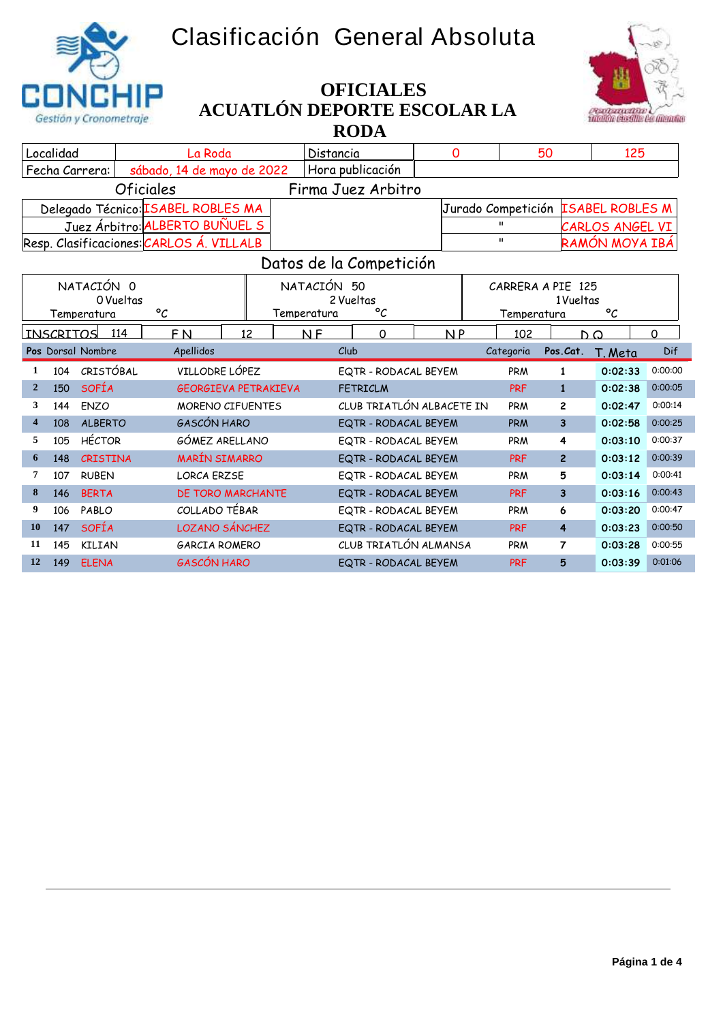## **Clasificación General Absoluta**





## **ACUATLÓN DEPORTE ESCOLAR LA RODA OFICIALES**

| Localidad                                                                  |                                             | La Roda                                    |    | Distancia                                     | 0               |                                    | 50                      | 125                   |                    |
|----------------------------------------------------------------------------|---------------------------------------------|--------------------------------------------|----|-----------------------------------------------|-----------------|------------------------------------|-------------------------|-----------------------|--------------------|
| Fecha Carrera:                                                             |                                             | sábado, 14 de mayo de 2022                 |    | Hora publicación                              |                 |                                    |                         |                       |                    |
|                                                                            | <b>Oficiales</b>                            |                                            |    | Firma Juez Arbitro                            |                 |                                    |                         |                       |                    |
|                                                                            |                                             | Delegado Técnico: ISABEL ROBLES MA         |    |                                               |                 | Jurado Competición ISABEL ROBLES M |                         |                       |                    |
|                                                                            |                                             | Juez Árbitro: ALBERTO BUÑUEL S             |    |                                               | CARLOS ANGEL VI |                                    |                         |                       |                    |
| $\mathbf{u}$<br>Resp. Clasificaciones: CARLOS Á. VILLALB<br>RAMÓN MOYA IBÁ |                                             |                                            |    |                                               |                 |                                    |                         |                       |                    |
| Datos de la Competición                                                    |                                             |                                            |    |                                               |                 |                                    |                         |                       |                    |
|                                                                            | NATACIÓN 0<br>0 Vueltas                     |                                            |    | NATACIÓN 50<br>2 Vueltas                      |                 | CARRERA A PIE 125                  | 1 Vueltas               |                       |                    |
|                                                                            | $\mathcal{C}$<br>Temperatura<br>Temperatura |                                            |    | $\circ_{\mathcal{C}}$                         |                 | Temperatura                        |                         | $\circ_{\mathcal{C}}$ |                    |
| <b>INSCRITOS</b>                                                           | 114                                         | F <sub>N</sub>                             | 12 | $\Omega$<br><b>NF</b>                         | N <sub>P</sub>  | 102                                | n a                     |                       | $\Omega$           |
| Pos Dorsal Nombre                                                          |                                             | Apellidos                                  |    | Club                                          |                 | Categoria                          | Pos.Cat.                | T. Meta               | Dif                |
| 104<br>1                                                                   | CRISTÓBAL                                   | VILLODRE LÓPEZ                             |    | EQTR - RODACAL BEYEM                          |                 | PRM                                | $\mathbf{1}$            | 0:02:33               | 0:00:00            |
| <b>SOFÍA</b><br>$\overline{2}$<br>150                                      |                                             | <b>GEORGIEVA PETRAKIEVA</b>                |    | <b>FETRICLM</b>                               |                 | <b>PRF</b>                         | $\mathbf{1}$            | 0:02:38               | 0:00:05            |
| 3<br>ENZO<br>144                                                           |                                             | MORENO CIFUENTES                           |    | CLUB TRIATLÓN ALBACETE IN                     |                 | PRM                                | $\overline{2}$          | 0:02:47               | 0:00:14            |
| 4<br>108                                                                   | <b>ALBERTO</b>                              | <b>GASCÓN HARO</b>                         |    | EQTR - RODACAL BEYEM                          |                 | <b>PRM</b>                         | $\overline{\mathbf{3}}$ | 0:02:58               | 0:00:25            |
| 5<br>105                                                                   | <b>HÉCTOR</b>                               | GÓMEZ ARELLANO                             |    |                                               |                 |                                    |                         |                       |                    |
| 6<br>148                                                                   |                                             |                                            |    | EQTR - RODACAL BEYEM                          |                 | PRM                                | 4                       | 0:03:10               | 0:00:37            |
|                                                                            | CRISTINA                                    | <b>MARÍN SIMARRO</b>                       |    | EQTR - RODACAL BEYEM                          |                 | <b>PRF</b>                         | $\overline{2}$          | 0:03:12               | 0:00:39            |
| 7<br>107                                                                   | <b>RUBEN</b>                                | <b>LORCA ERZSE</b>                         |    | EQTR - RODACAL BEYEM                          |                 | PRM                                | 5                       | 0:03:14               | 0:00:41            |
| 8<br><b>BERTA</b><br>146                                                   |                                             | <b>DE TORO MARCHANTE</b>                   |    | EQTR - RODACAL BEYEM                          |                 | <b>PRF</b>                         | $\overline{\mathbf{3}}$ | 0:03:16               | 0:00:43            |
| 9<br>PABLO<br>106                                                          |                                             | COLLADO TÉBAR                              |    | EQTR - RODACAL BEYEM                          |                 | PRM                                | 6                       | 0:03:20               | 0:00:47            |
| <b>SOFÍA</b><br>10<br>147                                                  |                                             | <b>LOZANO SÁNCHEZ</b>                      |    | EQTR - RODACAL BEYEM                          |                 | <b>PRF</b>                         | 4                       | 0:03:23               | 0:00:50            |
| 11<br>145                                                                  | KILIAN                                      | <b>GARCIA ROMERO</b><br><b>GASCÓN HARO</b> |    | CLUB TRIATLÓN ALMANSA<br>EQTR - RODACAL BEYEM |                 | PRM                                | $\overline{7}$          | 0:03:28               | 0:00:55<br>0:01:06 |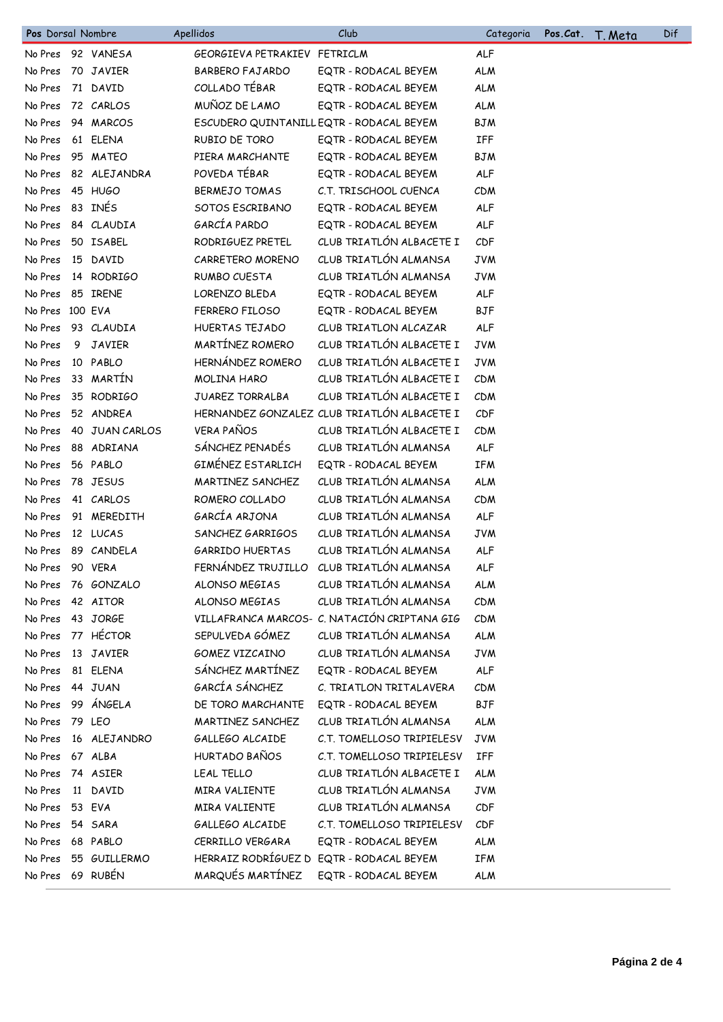| Pos Dorsal Nombre |    |                   | Apellidos                    | Club                                         | Categoria  | Pos.Cat. | T. Meta | Dif |
|-------------------|----|-------------------|------------------------------|----------------------------------------------|------------|----------|---------|-----|
|                   |    | No Pres 92 VANESA | GEORGIEVA PETRAKIEV FETRICLM |                                              | <b>ALF</b> |          |         |     |
| No Pres           |    | 70 JAVIER         | <b>BARBERO FAJARDO</b>       | EQTR - RODACAL BEYEM                         | <b>ALM</b> |          |         |     |
| No Pres           |    | 71 DAVID          | COLLADO TÉBAR                | EQTR - RODACAL BEYEM                         | <b>ALM</b> |          |         |     |
| No Pres           |    | 72 CARLOS         | MUÑOZ DE LAMO                | EQTR - RODACAL BEYEM                         | <b>ALM</b> |          |         |     |
| No Pres           |    | 94 MARCOS         |                              | ESCUDERO QUINTANILL EQTR - RODACAL BEYEM     | <b>BJM</b> |          |         |     |
| No Pres           |    | 61 ELENA          | RUBIO DE TORO                | EQTR - RODACAL BEYEM                         | IFF        |          |         |     |
| No Pres           |    | 95 MATEO          | PIERA MARCHANTE              | EQTR - RODACAL BEYEM                         | <b>BJM</b> |          |         |     |
| No Pres           |    | 82 ALEJANDRA      | POVEDA TÉBAR                 | EQTR - RODACAL BEYEM                         | <b>ALF</b> |          |         |     |
| No Pres           |    | 45 HUGO           | <b>BERMEJO TOMAS</b>         | C.T. TRISCHOOL CUENCA                        | <b>CDM</b> |          |         |     |
| No Pres           |    | 83 INÉS           | SOTOS ESCRIBANO              | EQTR - RODACAL BEYEM                         | <b>ALF</b> |          |         |     |
| No Pres           |    | 84 CLAUDIA        | GARCÍA PARDO                 | EQTR - RODACAL BEYEM                         | <b>ALF</b> |          |         |     |
| No Pres           |    | 50 ISABEL         | RODRIGUEZ PRETEL             | CLUB TRIATLÓN ALBACETE I                     | CDF        |          |         |     |
| No Pres           |    | 15 DAVID          | CARRETERO MORENO             | CLUB TRIATLÓN ALMANSA                        | <b>JVM</b> |          |         |     |
| No Pres           |    | 14 RODRIGO        | RUMBO CUESTA                 | CLUB TRIATLÓN ALMANSA                        | <b>JVM</b> |          |         |     |
| No Pres           |    | 85 IRENE          | LORENZO BLEDA                | EQTR - RODACAL BEYEM                         | <b>ALF</b> |          |         |     |
| No Pres 100 EVA   |    |                   | FERRERO FILOSO               | EQTR - RODACAL BEYEM                         | <b>BJF</b> |          |         |     |
| No Pres           |    | 93 CLAUDIA        | HUERTAS TEJADO               | CLUB TRIATLON ALCAZAR                        | <b>ALF</b> |          |         |     |
| No Pres           | 9. | JAVIER            | MARTÍNEZ ROMERO              | CLUB TRIATLÓN ALBACETE I                     | <b>JVM</b> |          |         |     |
| No Pres           |    | 10 PABLO          | HERNÁNDEZ ROMERO             | CLUB TRIATLÓN ALBACETE I                     | <b>JVM</b> |          |         |     |
| No Pres           |    | 33 MARTÍN         | <b>MOLINA HARO</b>           | CLUB TRIATLÓN ALBACETE I                     | CDM        |          |         |     |
| No Pres           |    | 35 RODRIGO        | <b>JUAREZ TORRALBA</b>       | CLUB TRIATLÓN ALBACETE I                     | CDM        |          |         |     |
| No Pres           |    | 52 ANDREA         |                              | HERNANDEZ GONZALEZ CLUB TRIATLÓN ALBACETE I  | CDF        |          |         |     |
| No Pres           |    | 40 JUAN CARLOS    | <b>VERA PAÑOS</b>            | CLUB TRIATLÓN ALBACETE I                     | CDM        |          |         |     |
| No Pres           |    | 88 ADRIANA        | SÁNCHEZ PENADÉS              | CLUB TRIATLÓN ALMANSA                        | <b>ALF</b> |          |         |     |
| No Pres           |    | 56 PABLO          | GIMÉNEZ ESTARLICH            | EQTR - RODACAL BEYEM                         | IFM        |          |         |     |
| No Pres           |    | 78 JESUS          | MARTINEZ SANCHEZ             | CLUB TRIATLÓN ALMANSA                        | <b>ALM</b> |          |         |     |
| No Pres           |    | 41 CARLOS         | ROMERO COLLADO               | CLUB TRIATLÓN ALMANSA                        | CDM        |          |         |     |
| No Pres           |    | 91 MEREDITH       | GARCÍA ARJONA                | CLUB TRIATLÓN ALMANSA                        | ALF        |          |         |     |
| No Pres           |    | 12 LUCAS          | SANCHEZ GARRIGOS             | CLUB TRIATLÓN ALMANSA                        | <b>JVM</b> |          |         |     |
| No Pres           |    | 89 CANDELA        | <b>GARRIDO HUERTAS</b>       | CLUB TRIATLÓN ALMANSA                        | <b>ALF</b> |          |         |     |
| No Pres           |    | 90 VERA           | FERNÁNDEZ TRUJILLO           | CLUB TRIATLÓN ALMANSA                        | <b>ALF</b> |          |         |     |
| No Pres           |    | 76 GONZALO        | ALONSO MEGIAS                | CLUB TRIATLÓN ALMANSA                        | <b>ALM</b> |          |         |     |
| No Pres           |    | 42 AITOR          | ALONSO MEGIAS                | CLUB TRIATLÓN ALMANSA                        | CDM        |          |         |     |
| No Pres           |    | 43 JORGE          |                              | VILLAFRANCA MARCOS- C. NATACIÓN CRIPTANA GIG | <b>CDM</b> |          |         |     |
| No Pres           |    | 77 HÉCTOR         | SEPULVEDA GÓMEZ              | CLUB TRIATLÓN ALMANSA                        | <b>ALM</b> |          |         |     |
| No Pres           |    | 13 JAVIER         | GOMEZ VIZCAINO               | CLUB TRIATLÓN ALMANSA                        | <b>JVM</b> |          |         |     |
| No Pres           |    | 81 ELENA          | SÁNCHEZ MARTÍNEZ             | EQTR - RODACAL BEYEM                         | <b>ALF</b> |          |         |     |
| No Pres           |    | 44 JUAN           | GARCÍA SÁNCHEZ               | C. TRIATLON TRITALAVERA                      | <b>CDM</b> |          |         |     |
| No Pres           |    | 99 ÁNGELA         | DE TORO MARCHANTE            | EQTR - RODACAL BEYEM                         | <b>BJF</b> |          |         |     |
| No Pres           |    | 79 LEO            | MARTINEZ SANCHEZ             | CLUB TRIATLÓN ALMANSA                        | <b>ALM</b> |          |         |     |
| No Pres           |    | 16 ALEJANDRO      | GALLEGO ALCAIDE              | C.T. TOMELLOSO TRIPIELESV                    | <b>JVM</b> |          |         |     |
| No Pres           |    | 67 ALBA           | HURTADO BAÑOS                | C.T. TOMELLOSO TRIPIELESV                    | IFF        |          |         |     |
| No Pres           |    | 74 ASIER          | LEAL TELLO                   | CLUB TRIATLÓN ALBACETE I                     | <b>ALM</b> |          |         |     |
| No Pres           |    | 11 DAVID          | MIRA VALIENTE                | CLUB TRIATLÓN ALMANSA                        | <b>JVM</b> |          |         |     |
| No Pres           |    | 53 EVA            | MIRA VALIENTE                | CLUB TRIATLÓN ALMANSA                        | CDF        |          |         |     |
| No Pres           |    | 54 SARA           | GALLEGO ALCAIDE              | C.T. TOMELLOSO TRIPIELESV                    | CDF        |          |         |     |
| No Pres           |    | 68 PABLO          | CERRILLO VERGARA             | EQTR - RODACAL BEYEM                         | <b>ALM</b> |          |         |     |
| No Pres           |    | 55 GUILLERMO      |                              | HERRAIZ RODRÍGUEZ D EQTR - RODACAL BEYEM     | IFM        |          |         |     |
| No Pres 69 RUBÉN  |    |                   | MARQUÉS MARTÍNEZ             | EQTR - RODACAL BEYEM                         | <b>ALM</b> |          |         |     |
|                   |    |                   |                              |                                              |            |          |         |     |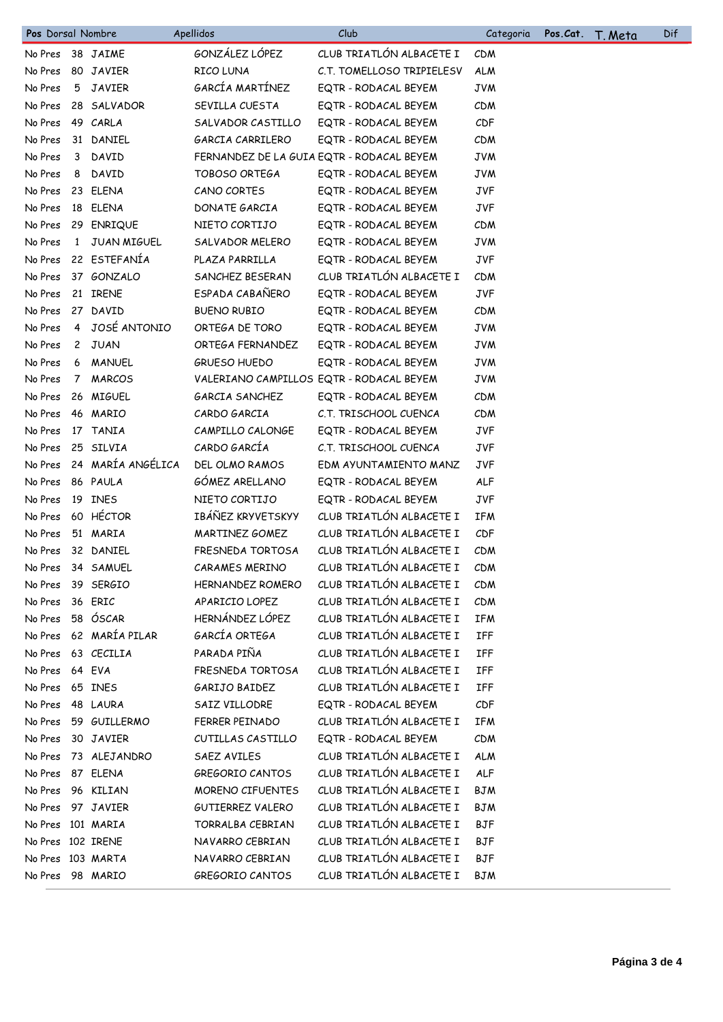| Pos Dorsal Nombre |             |                   | Apellidos             | Club                                      | Categoria  | Pos.Cat. | <u>T. Meta</u> | Dif |
|-------------------|-------------|-------------------|-----------------------|-------------------------------------------|------------|----------|----------------|-----|
| No Pres           |             | 38 JAIME          | GONZÁLEZ LÓPEZ        | CLUB TRIATLÓN ALBACETE I                  | <b>CDM</b> |          |                |     |
| No Pres           |             | 80 JAVIER         | RICO LUNA             | C.T. TOMELLOSO TRIPIELESV                 | <b>ALM</b> |          |                |     |
| No Pres           | 5           | JAVIER            | GARCÍA MARTÍNEZ       | EQTR - RODACAL BEYEM                      | <b>JVM</b> |          |                |     |
| No Pres           |             | 28 SALVADOR       | SEVILLA CUESTA        | EQTR - RODACAL BEYEM                      | <b>CDM</b> |          |                |     |
| No Pres           |             | 49 CARLA          | SALVADOR CASTILLO     | EQTR - RODACAL BEYEM                      | CDF        |          |                |     |
| No Pres           |             | 31 DANIEL         | GARCIA CARRILERO      | EQTR - RODACAL BEYEM                      | <b>CDM</b> |          |                |     |
| No Pres           | 3           | DAVID             |                       | FERNANDEZ DE LA GUIA EQTR - RODACAL BEYEM | <b>JVM</b> |          |                |     |
| No Pres           | 8           | DAVID             | TOBOSO ORTEGA         | EQTR - RODACAL BEYEM                      | <b>JVM</b> |          |                |     |
| No Pres           |             | 23 ELENA          | CANO CORTES           | EQTR - RODACAL BEYEM                      | JVF        |          |                |     |
| No Pres           |             | 18 ELENA          | DONATE GARCIA         | EQTR - RODACAL BEYEM                      | JVF        |          |                |     |
| No Pres           |             | 29 ENRIQUE        | NIETO CORTIJO         | EQTR - RODACAL BEYEM                      | <b>CDM</b> |          |                |     |
| No Pres           |             | 1 JUAN MIGUEL     | SALVADOR MELERO       | EQTR - RODACAL BEYEM                      | <b>JVM</b> |          |                |     |
| No Pres           |             | 22 ESTEFANÍA      | PLAZA PARRILLA        | EQTR - RODACAL BEYEM                      | <b>JVF</b> |          |                |     |
| No Pres           |             | 37 GONZALO        | SANCHEZ BESERAN       | CLUB TRIATLÓN ALBACETE I                  | <b>CDM</b> |          |                |     |
| No Pres           |             | 21 IRENE          | ESPADA CABAÑERO       | EQTR - RODACAL BEYEM                      | JVF        |          |                |     |
| No Pres           |             | 27 DAVID          | <b>BUENO RUBIO</b>    | EQTR - RODACAL BEYEM                      | CDM        |          |                |     |
| No Pres           |             | 4 JOSÉ ANTONIO    | ORTEGA DE TORO        | EQTR - RODACAL BEYEM                      | <b>JVM</b> |          |                |     |
| No Pres           |             | 2 JUAN            | ORTEGA FERNANDEZ      | EQTR - RODACAL BEYEM                      | <b>JVM</b> |          |                |     |
| No Pres           |             | 6 MANUEL          | <b>GRUESO HUEDO</b>   | EQTR - RODACAL BEYEM                      | <b>JVM</b> |          |                |     |
| No Pres           | $7^{\circ}$ | <b>MARCOS</b>     |                       | VALERIANO CAMPILLOS EQTR - RODACAL BEYEM  | <b>JVM</b> |          |                |     |
| No Pres           |             | 26 MIGUEL         | GARCIA SANCHEZ        | EQTR - RODACAL BEYEM                      | <b>CDM</b> |          |                |     |
| No Pres           |             | 46 MARIO          | CARDO GARCIA          | C.T. TRISCHOOL CUENCA                     | <b>CDM</b> |          |                |     |
| No Pres           |             | 17 TANIA          | CAMPILLO CALONGE      | EQTR - RODACAL BEYEM                      | <b>JVF</b> |          |                |     |
| No Pres           |             | 25 SILVIA         | CARDO GARCÍA          | C.T. TRISCHOOL CUENCA                     | <b>JVF</b> |          |                |     |
| No Pres           |             | 24 MARÍA ANGÉLICA | <b>DEL OLMO RAMOS</b> | EDM AYUNTAMIENTO MANZ                     | <b>JVF</b> |          |                |     |
| No Pres           |             | 86 PAULA          | GÓMEZ ARELLANO        | EQTR - RODACAL BEYEM                      | ALF        |          |                |     |
| No Pres           |             | 19 INES           | NIETO CORTIJO         | EQTR - RODACAL BEYEM                      | <b>JVF</b> |          |                |     |
| No Pres           |             | 60 HÉCTOR         | IBÁÑEZ KRYVETSKYY     | CLUB TRIATLÓN ALBACETE I                  | IFM        |          |                |     |
| No Pres           |             | 51 MARIA          | MARTINEZ GOMEZ        | CLUB TRIATLÓN ALBACETE I                  | CDF        |          |                |     |
| No Pres           |             | 32 DANIEL         | FRESNEDA TORTOSA      | CLUB TRIATLÓN ALBACETE I                  | <b>CDM</b> |          |                |     |
| No Pres           |             | 34 SAMUEL         | <b>CARAMES MERINO</b> | CLUB TRIATLÓN ALBACETE I                  | CDM        |          |                |     |
| No Pres           |             | 39 SERGIO         | HERNANDEZ ROMERO      | CLUB TRIATLÓN ALBACETE I                  | <b>CDM</b> |          |                |     |
| No Pres           |             | 36 ERIC           | APARICIO LOPEZ        | CLUB TRIATLÓN ALBACETE I                  | CDM        |          |                |     |
| No Pres           |             | 58 ÓSCAR          | HERNÁNDEZ LÓPEZ       | CLUB TRIATLÓN ALBACETE I                  | <b>IFM</b> |          |                |     |
| No Pres           |             | 62 MARÍA PILAR    | GARCÍA ORTEGA         | CLUB TRIATLÓN ALBACETE I                  | IFF        |          |                |     |
| No Pres           |             | 63 CECILIA        | PARADA PIÑA           | CLUB TRIATLÓN ALBACETE I                  | IFF        |          |                |     |
| No Pres           |             | 64 EVA            | FRESNEDA TORTOSA      | CLUB TRIATLÓN ALBACETE I                  | IFF        |          |                |     |
| No Pres           |             | 65 INES           | GARIJO BAIDEZ         | CLUB TRIATLÓN ALBACETE I                  | IFF        |          |                |     |
| No Pres           |             | 48 LAURA          | SAIZ VILLODRE         | EQTR - RODACAL BEYEM                      | CDF        |          |                |     |
| No Pres           |             | 59 GUILLERMO      | FERRER PEINADO        | CLUB TRIATLÓN ALBACETE I                  | <b>IFM</b> |          |                |     |
| No Pres           |             | 30 JAVIER         | CUTILLAS CASTILLO     | EQTR - RODACAL BEYEM                      | CDM        |          |                |     |
| No Pres           |             | 73 ALEJANDRO      | SAEZ AVILES           | CLUB TRIATLÓN ALBACETE I                  | <b>ALM</b> |          |                |     |
| No Pres           |             | 87 ELENA          | GREGORIO CANTOS       | CLUB TRIATLÓN ALBACETE I                  | ALF        |          |                |     |
| No Pres           |             | 96 KILIAN         | MORENO CIFUENTES      | CLUB TRIATLÓN ALBACETE I                  | <b>BJM</b> |          |                |     |
| No Pres           |             | 97 JAVIER         | GUTIERREZ VALERO      | CLUB TRIATLÓN ALBACETE I                  | <b>BJM</b> |          |                |     |
| No Pres 101 MARIA |             |                   | TORRALBA CEBRIAN      | CLUB TRIATLÓN ALBACETE I                  | <b>BJF</b> |          |                |     |
| No Pres 102 IRENE |             |                   | NAVARRO CEBRIAN       | CLUB TRIATLÓN ALBACETE I                  | <b>BJF</b> |          |                |     |
| No Pres 103 MARTA |             |                   | NAVARRO CEBRIAN       | CLUB TRIATLÓN ALBACETE I                  | <b>BJF</b> |          |                |     |
| No Pres 98 MARIO  |             |                   | GREGORIO CANTOS       | CLUB TRIATLÓN ALBACETE I                  | BJM        |          |                |     |
|                   |             |                   |                       |                                           |            |          |                |     |